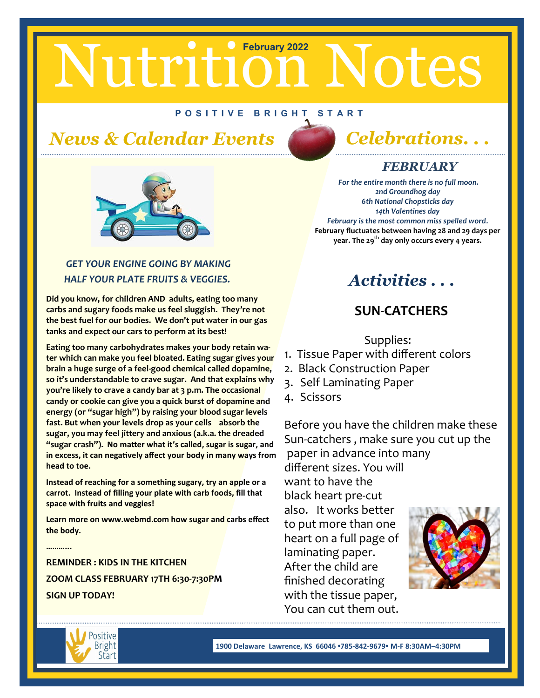# Nutrition Notes

#### **P O S I T I V E B R I G H T S T A R T**

# *News & Calendar Events Celebrations. . .*





#### *GET YOUR ENGINE GOING BY MAKING HALF YOUR PLATE FRUITS & VEGGIES.*

**Did you know, for children AND adults, eating too many carbs and sugary foods make us feel sluggish. They're not the best fuel for our bodies. We don't put water in our gas tanks and expect our cars to perform at its best!** 

**Eating too many carbohydrates makes your body retain water which can make you feel bloated. Eating sugar gives your brain a huge surge of a feel-good chemical called dopamine, so it's understandable to crave sugar. And that explains why you're likely to crave a candy bar at 3 p.m. The occasional candy or cookie can give you a quick burst of dopamine and energy (or "sugar high") by raising your blood sugar levels fast. But when your levels drop as your cells absorb the sugar, you may feel jittery and anxious (a.k.a. the dreaded "sugar crash"). No matter what it's called, sugar is sugar, and in excess, it can negatively affect your body in many ways from head to toe.** 

**Instead of reaching for a something sugary, try an apple or a carrot. Instead of filling your plate with carb foods, fill that space with fruits and veggies!** 

**Learn more on www.webmd.com how sugar and carbs effect the body.**

**REMINDER : KIDS IN THE KITCHEN ZOOM CLASS FEBRUARY 17TH 6:30-7:30PM SIGN UP TODAY!**

## *FEBRUARY*

*For the entire month there is no full moon. 2nd Groundhog day 6th National Chopsticks day 14th Valentines day February is the most common miss spelled word.* **February fluctuates between having 28 and 29 days per year. The 29th day only occurs every 4 years.**

# *Activities . . .*

### **SUN-CATCHERS**

Supplies:

- 1. Tissue Paper with different colors
- 2. Black Construction Paper
- 3. Self Laminating Paper
- 4. Scissors

Before you have the children make these Sun-catchers , make sure you cut up the paper in advance into many different sizes. You will want to have the

black heart pre-cut also. It works better to put more than one heart on a full page of laminating paper. After the child are finished decorating with the tissue paper, You can cut them out.





**………...**

**1900 Delaware Lawrence, KS 66046 •785-842-9679• M-F 8:30AM–4:30PM**